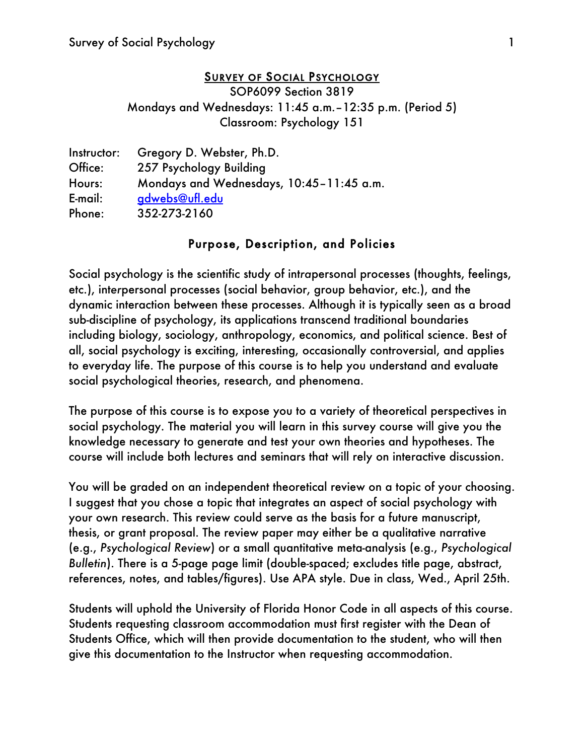#### SURVEY OF SOCIAL PSYCHOLOGY

SOP6099 Section 3819 Mondays and Wednesdays: 11:45 a.m.–12:35 p.m. (Period 5) Classroom: Psychology 151

| Instructor: | Gregory D. Webster, Ph.D.                |
|-------------|------------------------------------------|
| Office:     | 257 Psychology Building                  |
| Hours:      | Mondays and Wednesdays, 10:45-11:45 a.m. |
| E-mail:     | gdwebs@ufl.edu                           |
| Phone:      | 352-273-2160                             |

### Purpose, Description, and Policies

Social psychology is the scientific study of int*ra*personal processes (thoughts, feelings, etc.), int*er*personal processes (social behavior, group behavior, etc.), and the dynamic interaction between these processes. Although it is typically seen as a broad sub-discipline of psychology, its applications transcend traditional boundaries including biology, sociology, anthropology, economics, and political science. Best of all, social psychology is exciting, interesting, occasionally controversial, and applies to everyday life. The purpose of this course is to help you understand and evaluate social psychological theories, research, and phenomena.

The purpose of this course is to expose you to a variety of theoretical perspectives in social psychology. The material you will learn in this survey course will give you the knowledge necessary to generate and test your own theories and hypotheses. The course will include both lectures and seminars that will rely on interactive discussion.

You will be graded on an independent theoretical review on a topic of your choosing. I suggest that you chose a topic that integrates an aspect of social psychology with your own research. This review could serve as the basis for a future manuscript, thesis, or grant proposal. The review paper may either be a qualitative narrative (e.g., *Psychological Review*) or a small quantitative meta-analysis (e.g., *Psychological Bulletin*). There is a 5-page page limit (double-spaced; excludes title page, abstract, references, notes, and tables/figures). Use APA style. Due in class, Wed., April 25th.

Students will uphold the University of Florida Honor Code in all aspects of this course. Students requesting classroom accommodation must first register with the Dean of Students Office, which will then provide documentation to the student, who will then give this documentation to the Instructor when requesting accommodation.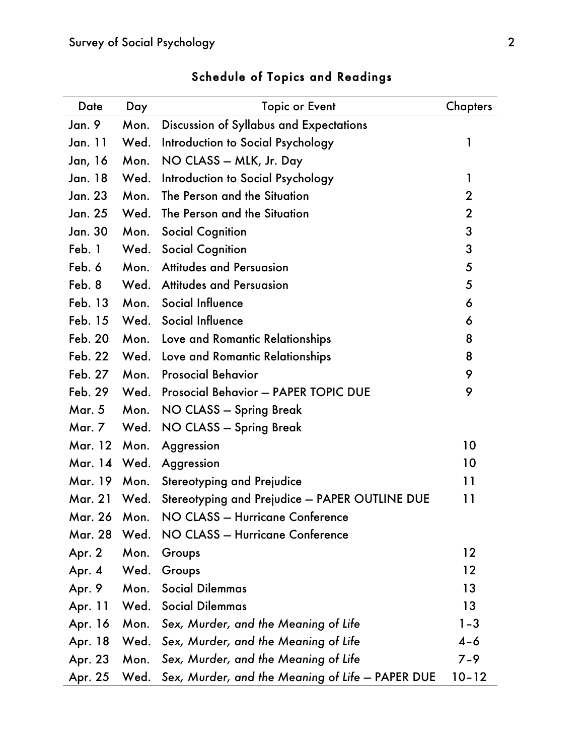| Date           | Day  | <b>Topic or Event</b>                                 | <b>Chapters</b> |
|----------------|------|-------------------------------------------------------|-----------------|
| Jan. 9         | Mon. | Discussion of Syllabus and Expectations               |                 |
| Jan. 11        | Wed. | Introduction to Social Psychology                     | 1               |
| Jan, 16        | Mon. | NO CLASS - MLK, Jr. Day                               |                 |
| <b>Jan. 18</b> | Wed. | Introduction to Social Psychology                     | 1               |
| Jan. 23        | Mon. | The Person and the Situation                          | $\overline{2}$  |
| Jan. 25        | Wed. | The Person and the Situation                          | $\overline{2}$  |
| Jan. 30        | Mon. | <b>Social Cognition</b>                               | 3               |
| Feb. 1         | Wed. | <b>Social Cognition</b>                               | 3               |
| Feb. 6         | Mon. | <b>Attitudes and Persuasion</b>                       | 5               |
| Feb. 8         | Wed. | <b>Attitudes and Persuasion</b>                       | 5               |
| Feb. 13        | Mon. | Social Influence                                      | 6               |
| Feb. 15        | Wed. | Social Influence                                      | 6               |
| <b>Feb. 20</b> |      | Mon. Love and Romantic Relationships                  | 8               |
| <b>Feb. 22</b> | Wed. | Love and Romantic Relationships                       | 8               |
| <b>Feb. 27</b> | Mon. | <b>Prosocial Behavior</b>                             | 9               |
| <b>Feb. 29</b> |      | Wed. Prosocial Behavior - PAPER TOPIC DUE             | 9               |
| <b>Mar. 5</b>  | Mon. | NO CLASS - Spring Break                               |                 |
| Mar. 7         | Wed. | NO CLASS - Spring Break                               |                 |
| Mar. 12        | Mon. | Aggression                                            | 10              |
| Mar. 14 Wed.   |      | Aggression                                            | 10              |
| Mar. 19        | Mon. | <b>Stereotyping and Prejudice</b>                     | 11              |
| <b>Mar. 21</b> | Wed. | Stereotyping and Prejudice - PAPER OUTLINE DUE        | 11              |
| Mar. 26 Mon.   |      | NO CLASS - Hurricane Conference                       |                 |
| <b>Mar. 28</b> | Wed. | NO CLASS - Hurricane Conference                       |                 |
| Apr. 2         | Mon. | Groups                                                | 12              |
| Apr. 4         | Wed. | Groups                                                | 12              |
| Apr. 9         | Mon. | <b>Social Dilemmas</b>                                | 13              |
| Apr. 11        |      | <b>Wed.</b> Social Dilemmas                           | 13              |
| Apr. 16        | Mon. | Sex, Murder, and the Meaning of Life                  | $1 - 3$         |
| Apr. 18        | Wed. | Sex, Murder, and the Meaning of Life                  | $4 - 6$         |
| Apr. 23        | Mon. | Sex, Murder, and the Meaning of Life                  | $7 - 9$         |
| Apr. 25        |      | Wed. Sex, Murder, and the Meaning of Life - PAPER DUE | $10 - 12$       |

# Schedule of Topics and Readings